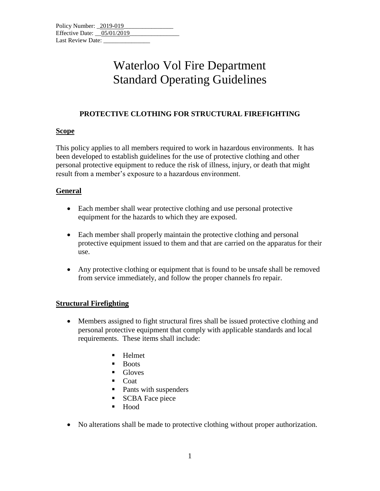# Waterloo Vol Fire Department Standard Operating Guidelines

### **PROTECTIVE CLOTHING FOR STRUCTURAL FIREFIGHTING**

#### **Scope**

This policy applies to all members required to work in hazardous environments. It has been developed to establish guidelines for the use of protective clothing and other personal protective equipment to reduce the risk of illness, injury, or death that might result from a member's exposure to a hazardous environment.

## **General**

- Each member shall wear protective clothing and use personal protective equipment for the hazards to which they are exposed.
- Each member shall properly maintain the protective clothing and personal protective equipment issued to them and that are carried on the apparatus for their use.
- Any protective clothing or equipment that is found to be unsafe shall be removed from service immediately, and follow the proper channels fro repair.

## **Structural Firefighting**

- Members assigned to fight structural fires shall be issued protective clothing and personal protective equipment that comply with applicable standards and local requirements. These items shall include:
	- **Helmet**
	- Boots
	- Gloves
	- Coat
	- Pants with suspenders
	- SCBA Face piece
	- Hood
- No alterations shall be made to protective clothing without proper authorization.